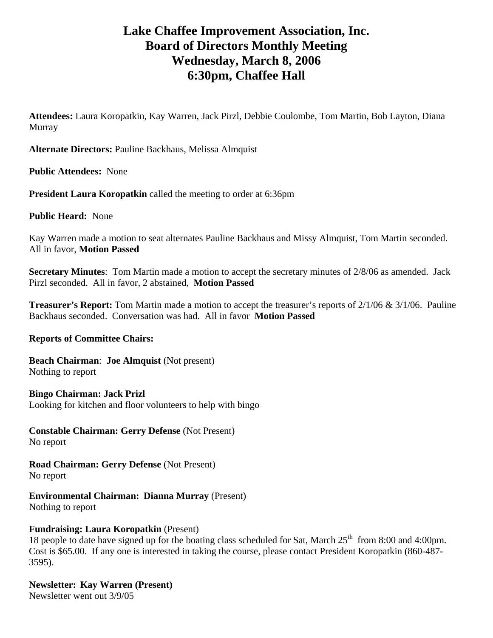# **Lake Chaffee Improvement Association, Inc. Board of Directors Monthly Meeting Wednesday, March 8, 2006 6:30pm, Chaffee Hall**

**Attendees:** Laura Koropatkin, Kay Warren, Jack Pirzl, Debbie Coulombe, Tom Martin, Bob Layton, Diana Murray

**Alternate Directors:** Pauline Backhaus, Melissa Almquist

**Public Attendees:** None

**President Laura Koropatkin** called the meeting to order at 6:36pm

**Public Heard:** None

Kay Warren made a motion to seat alternates Pauline Backhaus and Missy Almquist, Tom Martin seconded. All in favor, **Motion Passed**

**Secretary Minutes**: Tom Martin made a motion to accept the secretary minutes of 2/8/06 as amended. Jack Pirzl seconded. All in favor, 2 abstained, **Motion Passed** 

**Treasurer's Report:** Tom Martin made a motion to accept the treasurer's reports of 2/1/06 & 3/1/06. Pauline Backhaus seconded. Conversation was had. All in favor **Motion Passed**

## **Reports of Committee Chairs:**

**Beach Chairman**: **Joe Almquist** (Not present) Nothing to report

**Bingo Chairman: Jack Prizl**  Looking for kitchen and floor volunteers to help with bingo

**Constable Chairman: Gerry Defense** (Not Present) No report

**Road Chairman: Gerry Defense** (Not Present) No report

**Environmental Chairman: Dianna Murray** (Present) Nothing to report

## **Fundraising: Laura Koropatkin** (Present)

18 people to date have signed up for the boating class scheduled for Sat, March  $25<sup>th</sup>$  from 8:00 and 4:00pm. Cost is \$65.00. If any one is interested in taking the course, please contact President Koropatkin (860-487- 3595).

**Newsletter: Kay Warren (Present)**  Newsletter went out 3/9/05